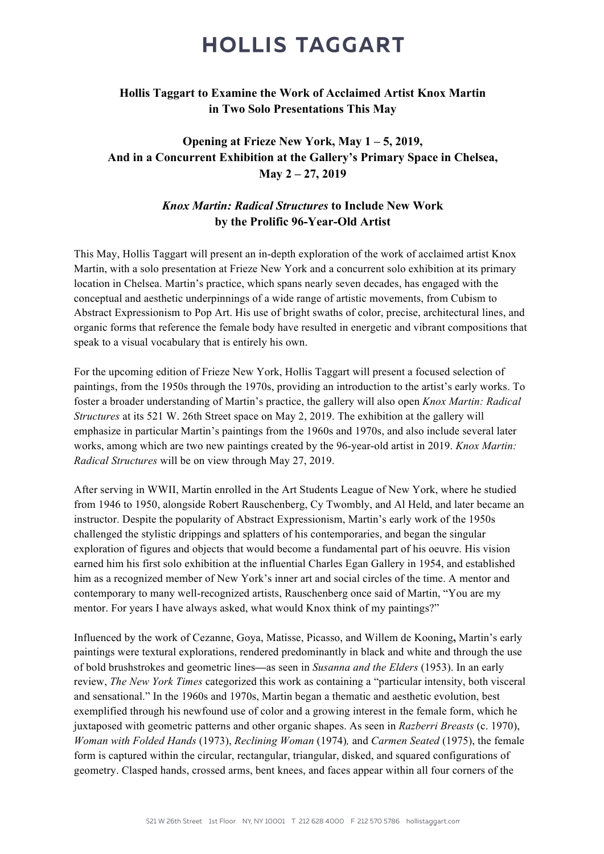### **HOLLIS TAGGART**

#### **Hollis Taggart to Examine the Work of Acclaimed Artist Knox Martin in Two Solo Presentations This May**

### **Opening at Frieze New York, May 1 – 5, 2019, And in a Concurrent Exhibition at the Gallery's Primary Space in Chelsea, May 2 – 27, 2019**

#### *Knox Martin: Radical Structures* **to Include New Work by the Prolific 96-Year-Old Artist**

This May, Hollis Taggart will present an in-depth exploration of the work of acclaimed artist Knox Martin, with a solo presentation at Frieze New York and a concurrent solo exhibition at its primary location in Chelsea. Martin's practice, which spans nearly seven decades, has engaged with the conceptual and aesthetic underpinnings of a wide range of artistic movements, from Cubism to Abstract Expressionism to Pop Art. His use of bright swaths of color, precise, architectural lines, and organic forms that reference the female body have resulted in energetic and vibrant compositions that speak to a visual vocabulary that is entirely his own.

For the upcoming edition of Frieze New York, Hollis Taggart will present a focused selection of paintings, from the 1950s through the 1970s, providing an introduction to the artist's early works. To foster a broader understanding of Martin's practice, the gallery will also open *Knox Martin: Radical Structures* at its 521 W. 26th Street space on May 2, 2019. The exhibition at the gallery will emphasize in particular Martin's paintings from the 1960s and 1970s, and also include several later works, among which are two new paintings created by the 96-year-old artist in 2019. *Knox Martin: Radical Structures* will be on view through May 27, 2019.

After serving in WWII, Martin enrolled in the Art Students League of New York, where he studied from 1946 to 1950, alongside Robert Rauschenberg, Cy Twombly, and Al Held, and later became an instructor. Despite the popularity of Abstract Expressionism, Martin's early work of the 1950s challenged the stylistic drippings and splatters of his contemporaries, and began the singular exploration of figures and objects that would become a fundamental part of his oeuvre. His vision earned him his first solo exhibition at the influential Charles Egan Gallery in 1954, and established him as a recognized member of New York's inner art and social circles of the time. A mentor and contemporary to many well-recognized artists, Rauschenberg once said of Martin, "You are my mentor. For years I have always asked, what would Knox think of my paintings?"

Influenced by the work of Cezanne, Goya, Matisse, Picasso, and Willem de Kooning**,** Martin's early paintings were textural explorations, rendered predominantly in black and white and through the use of bold brushstrokes and geometric lines**—**as seen in *Susanna and the Elders* (1953). In an early review, *The New York Times* categorized this work as containing a "particular intensity, both visceral and sensational." In the 1960s and 1970s, Martin began a thematic and aesthetic evolution, best exemplified through his newfound use of color and a growing interest in the female form, which he juxtaposed with geometric patterns and other organic shapes. As seen in *Razberri Breasts* (c. 1970), *Woman with Folded Hands* (1973), *Reclining Woman* (1974)*,* and *Carmen Seated* (1975), the female form is captured within the circular, rectangular, triangular, disked, and squared configurations of geometry. Clasped hands, crossed arms, bent knees, and faces appear within all four corners of the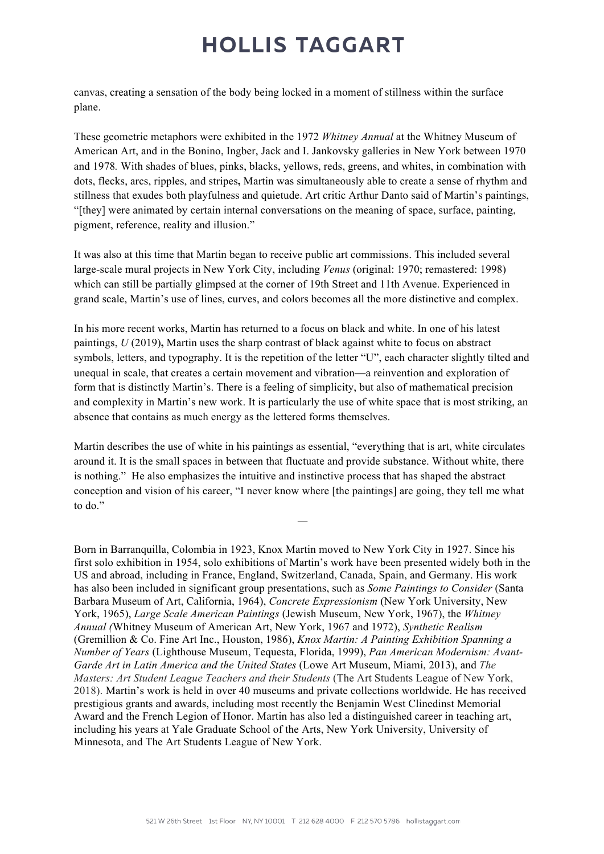# **HOLLIS TAGGART**

canvas, creating a sensation of the body being locked in a moment of stillness within the surface plane.

These geometric metaphors were exhibited in the 1972 *Whitney Annual* at the Whitney Museum of American Art, and in the Bonino, Ingber, Jack and I. Jankovsky galleries in New York between 1970 and 1978*.* With shades of blues, pinks, blacks, yellows, reds, greens, and whites, in combination with dots, flecks, arcs, ripples, and stripes**,** Martin was simultaneously able to create a sense of rhythm and stillness that exudes both playfulness and quietude. Art critic Arthur Danto said of Martin's paintings, "[they] were animated by certain internal conversations on the meaning of space, surface, painting, pigment, reference, reality and illusion."

It was also at this time that Martin began to receive public art commissions. This included several large-scale mural projects in New York City, including *Venus* (original: 1970; remastered: 1998) which can still be partially glimpsed at the corner of 19th Street and 11th Avenue. Experienced in grand scale, Martin's use of lines, curves, and colors becomes all the more distinctive and complex.

In his more recent works, Martin has returned to a focus on black and white. In one of his latest paintings, *U* (2019)**,** Martin uses the sharp contrast of black against white to focus on abstract symbols, letters, and typography. It is the repetition of the letter "U", each character slightly tilted and unequal in scale, that creates a certain movement and vibration**—**a reinvention and exploration of form that is distinctly Martin's. There is a feeling of simplicity, but also of mathematical precision and complexity in Martin's new work. It is particularly the use of white space that is most striking, an absence that contains as much energy as the lettered forms themselves.

Martin describes the use of white in his paintings as essential, "everything that is art, white circulates around it. It is the small spaces in between that fluctuate and provide substance. Without white, there is nothing." He also emphasizes the intuitive and instinctive process that has shaped the abstract conception and vision of his career, "I never know where [the paintings] are going, they tell me what to do."

*—*

Born in Barranquilla, Colombia in 1923, Knox Martin moved to New York City in 1927. Since his first solo exhibition in 1954, solo exhibitions of Martin's work have been presented widely both in the US and abroad, including in France, England, Switzerland, Canada, Spain, and Germany. His work has also been included in significant group presentations, such as *Some Paintings to Consider* (Santa Barbara Museum of Art, California, 1964), *Concrete Expressionism* (New York University, New York, 1965), *Large Scale American Paintings* (Jewish Museum, New York, 1967), the *Whitney Annual (*Whitney Museum of American Art, New York, 1967 and 1972), *Synthetic Realism* (Gremillion & Co. Fine Art Inc., Houston, 1986), *Knox Martin: A Painting Exhibition Spanning a Number of Years* (Lighthouse Museum, Tequesta, Florida, 1999), *Pan American Modernism: Avant-Garde Art in Latin America and the United States* (Lowe Art Museum, Miami, 2013), and *The Masters: Art Student League Teachers and their Students* (The Art Students League of New York, 2018). Martin's work is held in over 40 museums and private collections worldwide. He has received prestigious grants and awards, including most recently the Benjamin West Clinedinst Memorial Award and the French Legion of Honor. Martin has also led a distinguished career in teaching art, including his years at Yale Graduate School of the Arts, New York University, University of Minnesota, and The Art Students League of New York.